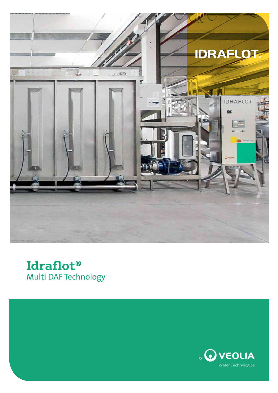



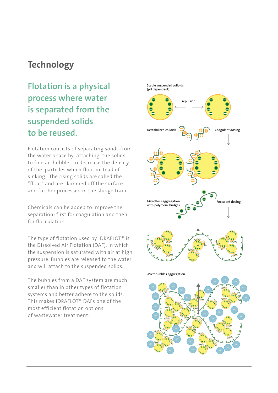### **Technology**

### Flotation is a physical process where water is separated from the suspended solids to be reused.

Flotation consists of separating solids from the water phase by attaching the solids to fine air bubbles to decrease the density of the particles which float instead of sinking. The rising solids are called the "float" and are skimmed off the surface and further processed in the sludge train.

Chemicals can be added to improve the separation: first for coagulation and then for flocculation.

The type of flotation used by IDRAFLOT® is the Dissolved Air Flotation (DAF), in which the suspension is saturated with air at high pressure. Bubbles are released to the water and will attach to the suspended solids.

The bubbles from a DAF system are much smaller than in other types of flotation systems and better adhere to the solids. This makes IDRAFLOT® DAFs one of the most efficient flotation options of wastewater treatment.

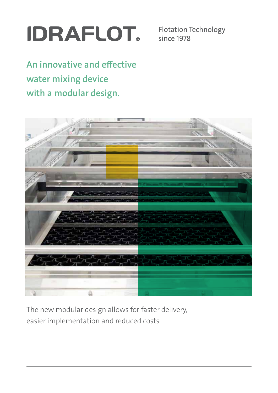## **IDRAFLOT.**

Flotation Technology since 1978

An innovative and effective water mixing device with a modular design.



The new modular design allows for faster delivery, easier implementation and reduced costs.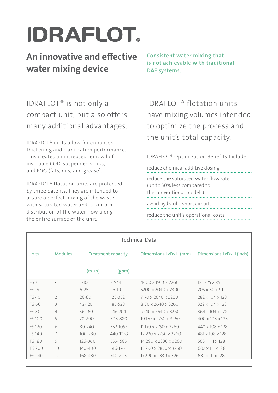# **IDRAFLOT.**

An innovative and effective water mixing device

Consistent water mixing that is not achievable with traditional DAF systems.

IDRAFLOT® is not only a compact unit, but also offers many additional advantages.

IDRAFLOT® units allow for enhanced thickening and clarification performance. This creates an increased removal of insoluble COD, suspended solids, and FOG (fats, oils, and grease).

IDRAFLOT® flotation units are protected by three patents. They are intended to assure a perfect mixing of the waste with saturated water and a uniform distribution of the water flow along the entire surface of the unit.

IDRAFLOT® flotation units have mixing volumes intended to optimize the process and the unit's total capacity.

IDRAFLOT® Optimization Benefits Include:

reduce chemical additive dosing reduce the saturated water flow rate (up to 50% less compared to the conventional models) avoid hydraulic short circuits

reduce the unit's operational costs

| <b>Technical Data</b> |                          |                           |            |                                  |                             |  |
|-----------------------|--------------------------|---------------------------|------------|----------------------------------|-----------------------------|--|
| <b>Units</b>          | <b>Modules</b>           | <b>Treatment capacity</b> |            | Dimensions LxDxH (mm)            | Dimensions LxDxH (inch)     |  |
|                       |                          | (m <sup>3</sup> /h)       | (gpm)      |                                  |                             |  |
| IFS <sub>7</sub>      | $\overline{\phantom{a}}$ | $5 - 10$                  | $22 - 44$  | 4600 x 1910 x 2260               | 181 x 75 x 89               |  |
| <b>IFS 15</b>         |                          | $6 - 25$                  | $26 - 110$ | 5200 x 2040 x 2300               | $205 \times 80 \times 91$   |  |
| <b>IFS40</b>          | $\overline{2}$           | 28-80                     | 123-352    | 7170 x 2640 x 3260               | 282 x 104 x 128             |  |
| <b>IFS 60</b>         | 3                        | 42-120                    | 185-528    | 8170 x 2640 x 3260               | 322 x 104 x 128             |  |
| <b>IFS 80</b>         | 4                        | 56-160                    | 246-704    | $9240 \times 2640 \times 3260$   | 364 x 104 x 128             |  |
| <b>IFS100</b>         | 5                        | $70 - 200$                | 308-880    | $10.170 \times 2750 \times 3260$ | $400 \times 108 \times 128$ |  |
| <b>IFS 120</b>        | 6                        | 80-240                    | 352-1057   | 11.170 x 2750 x 3260             | 440 x 108 x 128             |  |
| <b>IFS 140</b>        | 7                        | $100 - 280$               | 440-1233   | $12.220 \times 2750 \times 3260$ | 481 x 108 x 128             |  |
| <b>IFS 180</b>        | 9                        | 126-360                   | 555-1585   | 14.290 x 2830 x 3260             | 563 x 111 x 128             |  |
| <b>IFS 200</b>        | 10 <sup>°</sup>          | 140-400                   | 616-1761   | 15.290 x 2830 x 3260             | 602 x 111 x 128             |  |
| <b>IFS 240</b>        | 12                       | 168-480                   | 740-2113   | 17.290 x 2830 x 3260             | 681 x 111 x 128             |  |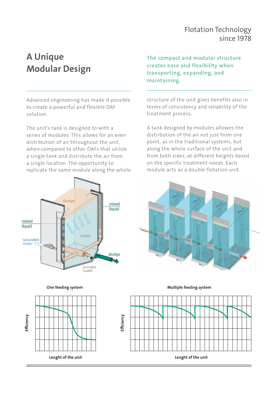#### Flotation Technology since 1978

### A Unique Modular Design

Advanced engineering has made it possible to create a powerful and flexible DAF solution.

The unit's tank is designed to with a series of modules. This allows for an even distribution of air throughout the unit, when compared to other DAFs that utilize a single tank and distribute the air from a single location. The opportunity to replicate the same module along the whole





The compact and modular structure creates ease and flexibility when transporting, expanding, and maintaining.

structure of the unit gives benefits also in terms of consistency and reliability of the treatment process.

A tank designed by modules allowes the distribution of the air not just from one point, as in the traditional systems, but along the whole surface of the unit and from both sides, at different heights based on the specific treatment needs. Each module acts as a double flotation unit.



One feeding system and the matter of the Multiple feeding system one feeding system

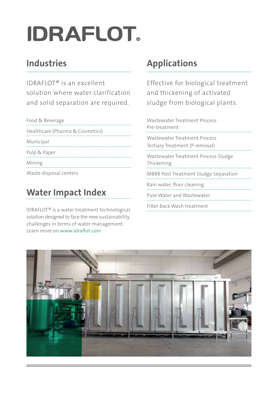# **IDRAFLOT.**

### Industries

IDRAFLOT® is an excellent solution where water clarification and solid separation are required.

| Food & Beverage                 |
|---------------------------------|
| Healthcare (Pharma & Cosmetics) |
| Municipal                       |
| Pulp & Paper                    |
| Mining                          |
| Waste disposal centers          |

### Water Impact Index

IDRAFLOT® is a water treatment technological solution designed to face the new sustainability challenges in terms of water management. Learn more on www.idraflot.com

### Applications

Effective for biological treatment and thickening of activated sludge from biological plants.

| Wastewater Treatment Process<br>Pre-treatment                  |
|----------------------------------------------------------------|
| Wastewater Treatment Process<br>Tertiary Treatment (P removal) |
| Wastewater Treatment Process Sludge<br>Thickening              |
| <b>MBBR Post Treatment Sludge Separation</b>                   |
| Rain water, floor cleaning                                     |
| Pure Water and Wastewater                                      |
| Filter Back Wash treatment                                     |

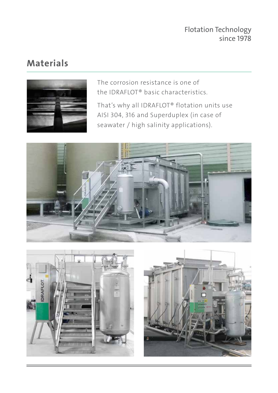### Materials



The corrosion resistance is one of the IDRAFLOT® basic characteristics.

That's why all IDRAFLOT® flotation units use AISI 304, 316 and Superduplex (in case of seawater / high salinity applications).